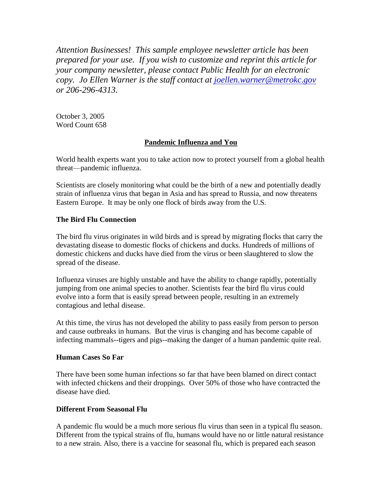*Attention Businesses! This sample employee newsletter article has been prepared for your use. If you wish to customize and reprint this article for your company newsletter, please contact Public Health for an electronic copy. Jo Ellen Warner is the staff contact at [joellen.warner@metrokc.gov](mailto:joellen.warner@metrokc.gov) or 206-296-4313.* 

October 3, 2005 Word Count 658

# **Pandemic Influenza and You**

World health experts want you to take action now to protect yourself from a global health threat—pandemic influenza.

Scientists are closely monitoring what could be the birth of a new and potentially deadly strain of influenza virus that began in Asia and has spread to Russia, and now threatens Eastern Europe. It may be only one flock of birds away from the U.S.

# **The Bird Flu Connection**

The bird flu virus originates in wild birds and is spread by migrating flocks that carry the devastating disease to domestic flocks of chickens and ducks. Hundreds of millions of domestic chickens and ducks have died from the virus or been slaughtered to slow the spread of the disease.

Influenza viruses are highly unstable and have the ability to change rapidly, potentially jumping from one animal species to another. Scientists fear the bird flu virus could evolve into a form that is easily spread between people, resulting in an extremely contagious and lethal disease.

At this time, the virus has not developed the ability to pass easily from person to person and cause outbreaks in humans. But the virus is changing and has become capable of infecting mammals--tigers and pigs--making the danger of a human pandemic quite real.

#### **Human Cases So Far**

There have been some human infections so far that have been blamed on direct contact with infected chickens and their droppings. Over 50% of those who have contracted the disease have died.

# **Different From Seasonal Flu**

A pandemic flu would be a much more serious flu virus than seen in a typical flu season. Different from the typical strains of flu, humans would have no or little natural resistance to a new strain. Also, there is a vaccine for seasonal flu, which is prepared each season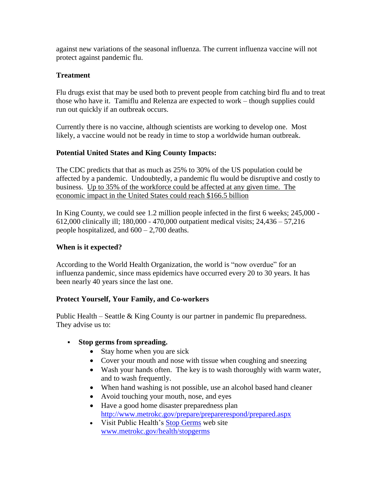against new variations of the seasonal influenza. The current influenza vaccine will not protect against pandemic flu.

### **Treatment**

Flu drugs exist that may be used both to prevent people from catching bird flu and to treat those who have it. Tamiflu and Relenza are expected to work – though supplies could run out quickly if an outbreak occurs.

Currently there is no vaccine, although scientists are working to develop one. Most likely, a vaccine would not be ready in time to stop a worldwide human outbreak.

# **Potential United States and King County Impacts:**

The CDC predicts that that as much as 25% to 30% of the US population could be affected by a pandemic. Undoubtedly, a pandemic flu would be disruptive and costly to business. Up to 35% of the workforce could be affected at any given time. The economic impact in the United States could reach \$166.5 billion

In King County, we could see 1.2 million people infected in the first 6 weeks; 245,000 - 612,000 clinically ill; 180,000 - 470,000 outpatient medical visits; 24,436 – 57,216 people hospitalized, and  $600 - 2,700$  deaths.

# **When is it expected?**

According to the World Health Organization, the world is "now overdue" for an influenza pandemic, since mass epidemics have occurred every 20 to 30 years. It has been nearly 40 years since the last one.

# **Protect Yourself, Your Family, and Co-workers**

Public Health – Seattle & King County is our partner in pandemic flu preparedness. They advise us to:

# **Stop germs from spreading.**

- Stay home when you are sick
- Cover your mouth and nose with tissue when coughing and sneezing
- Wash your hands often. The key is to wash thoroughly with warm water, and to wash frequently.
- When hand washing is not possible, use an alcohol based hand cleaner
- Avoid touching your mouth, nose, and eyes
- Have a good home disaster preparedness plan <http://www.metrokc.gov/prepare/preparerespond/prepared.aspx>
- Visit Public Health's [Stop Germs](http://www.metrokc.gov/health/stopgerms/index.htm) web site [www.metrokc.gov/health/stopgerms](file:///C:/Documents%20and%20Settings/ingj/Local%20Settings/Temporary%20Internet%20Files/OLK84/www.metrokc.gov/health/stopgerms)